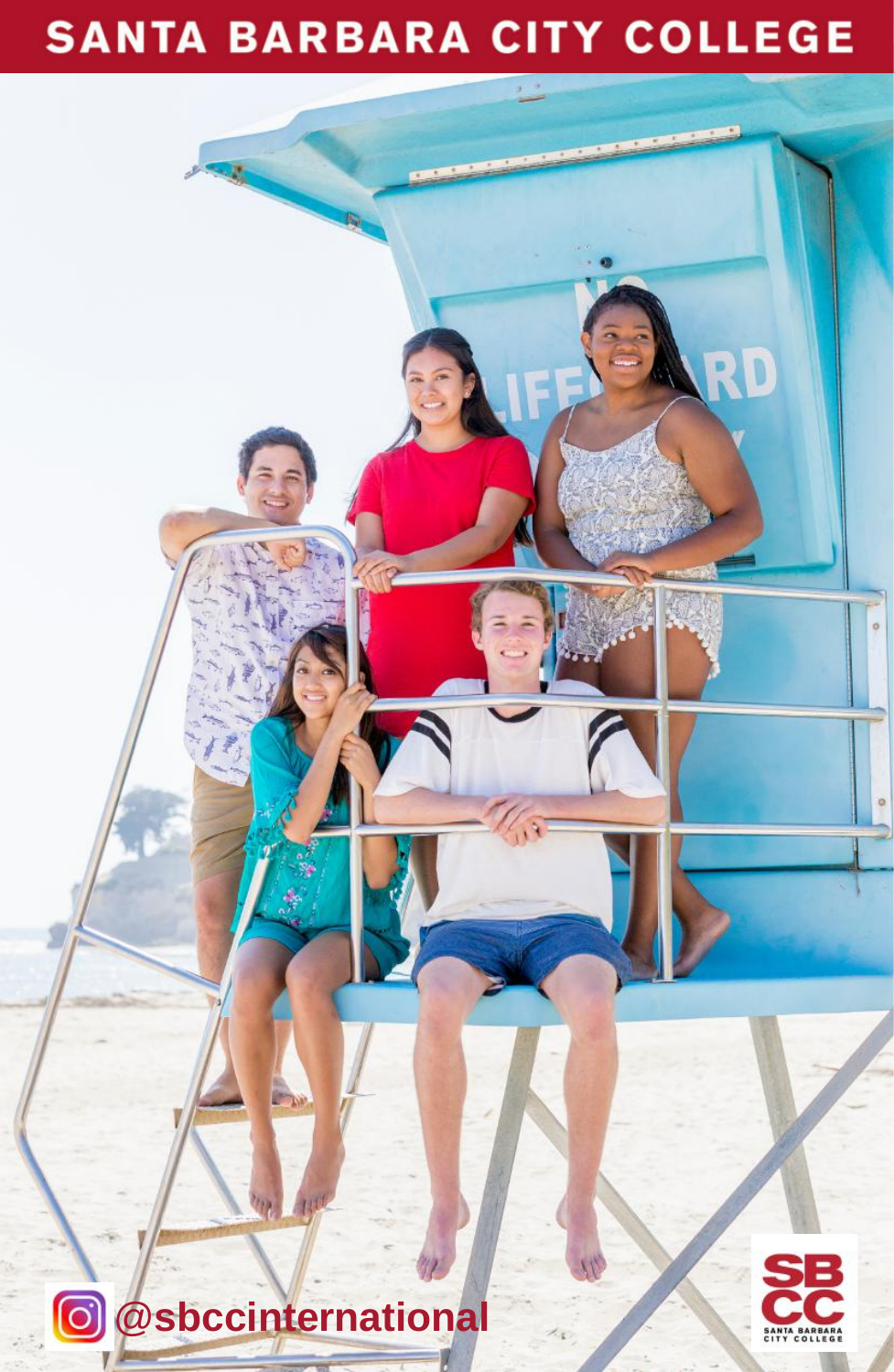#### SANTA BARBARA CITY COLLEGE





O.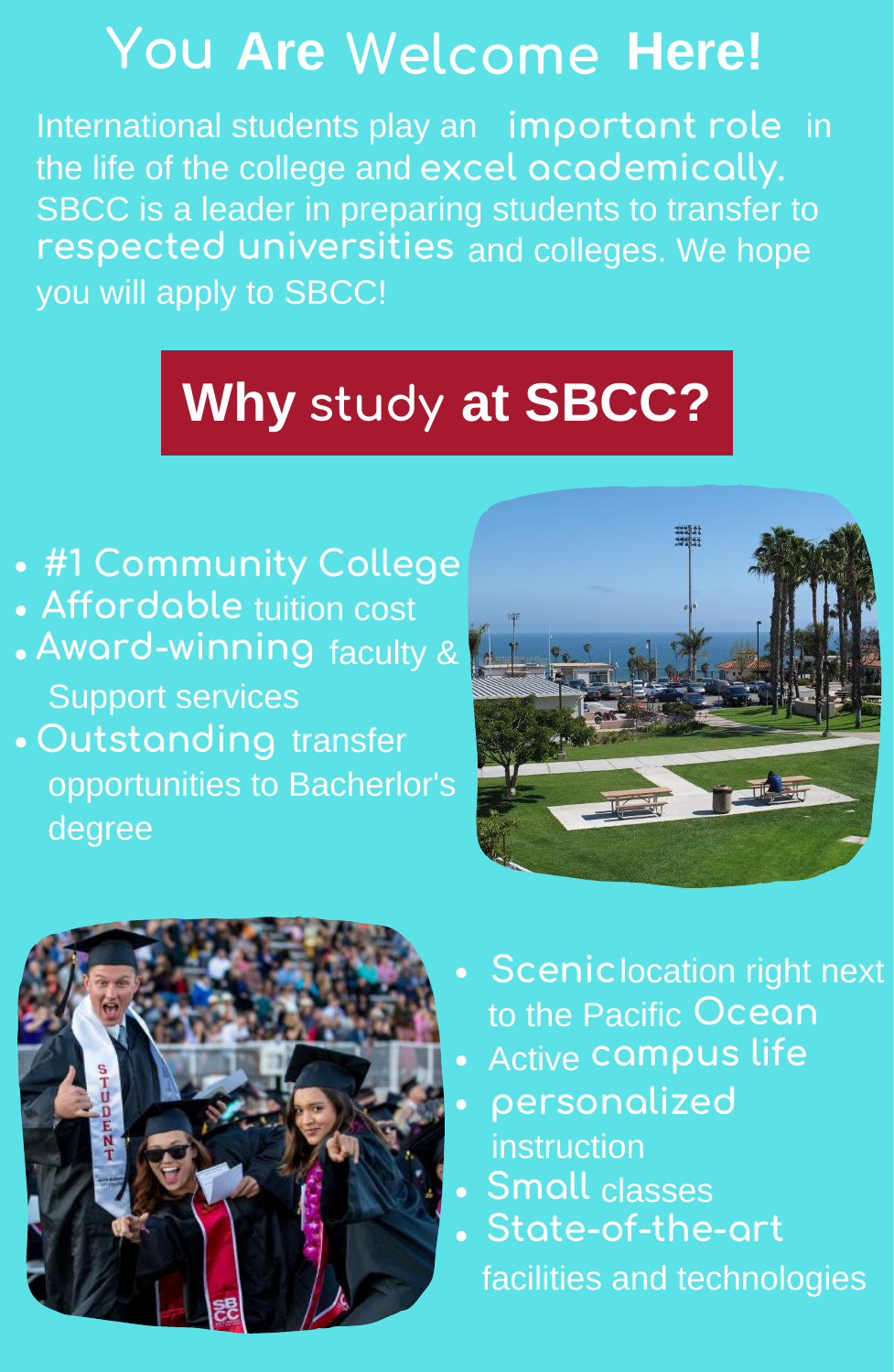## **You Are Welcome Here!**

International students play an important role in the life of the college and **excel academically.** SBCC is a leader in preparing students to transfer to respected universities and colleges. We hope you will apply to SBCC!

## **Why study at SBCC?**

- **#1 Community College**
- Affordable tuition cost
- Award-winning <sub>faculty &</sub> Support services
- **Outstanding transfer** opportunities to Bacherlor's degree





- **Sceniclocation right next** to the Pacific **Ocean**
- Active **campus life**
- instruction **personalized**
- **Small** classes
- facilities and technologies **State-of-the-art**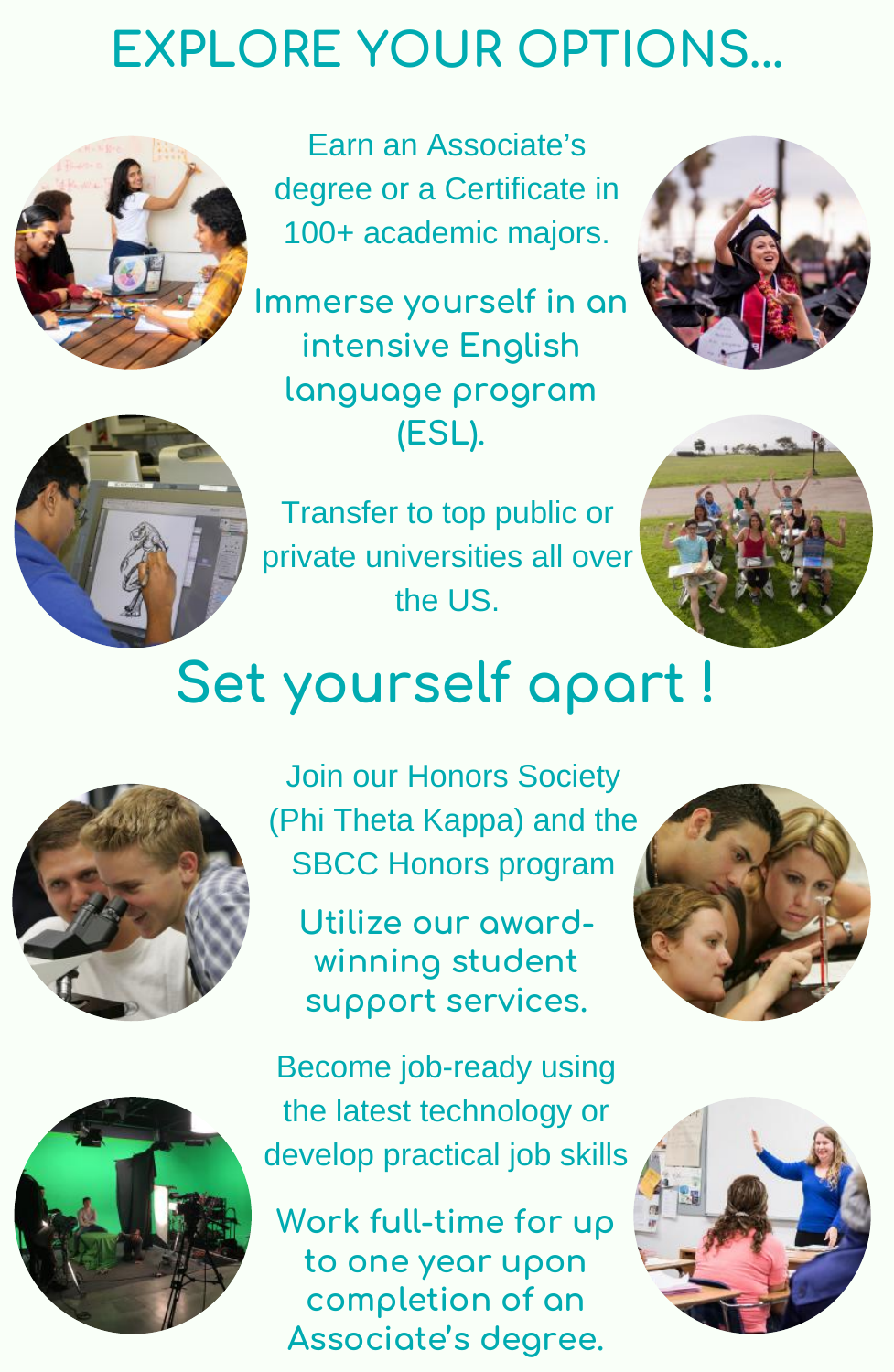## **EXPLORE YOUR OPTIONS...**



Earn an Associate's degree or a Certificate in 100+ academic majors.

**Immerse yourself in an intensive English language program (ESL).**





Transfer to top public or private universities all over the US.



## **Set yourself apart !**



Join our Honors Society (Phi Theta Kappa) and the SBCC Honors program

**Utilize our awardwinning student support services.**

Become job-ready using the latest technology or develop practical job skills

**Work full-time for up to one year upon completion of an Associate's degree.**





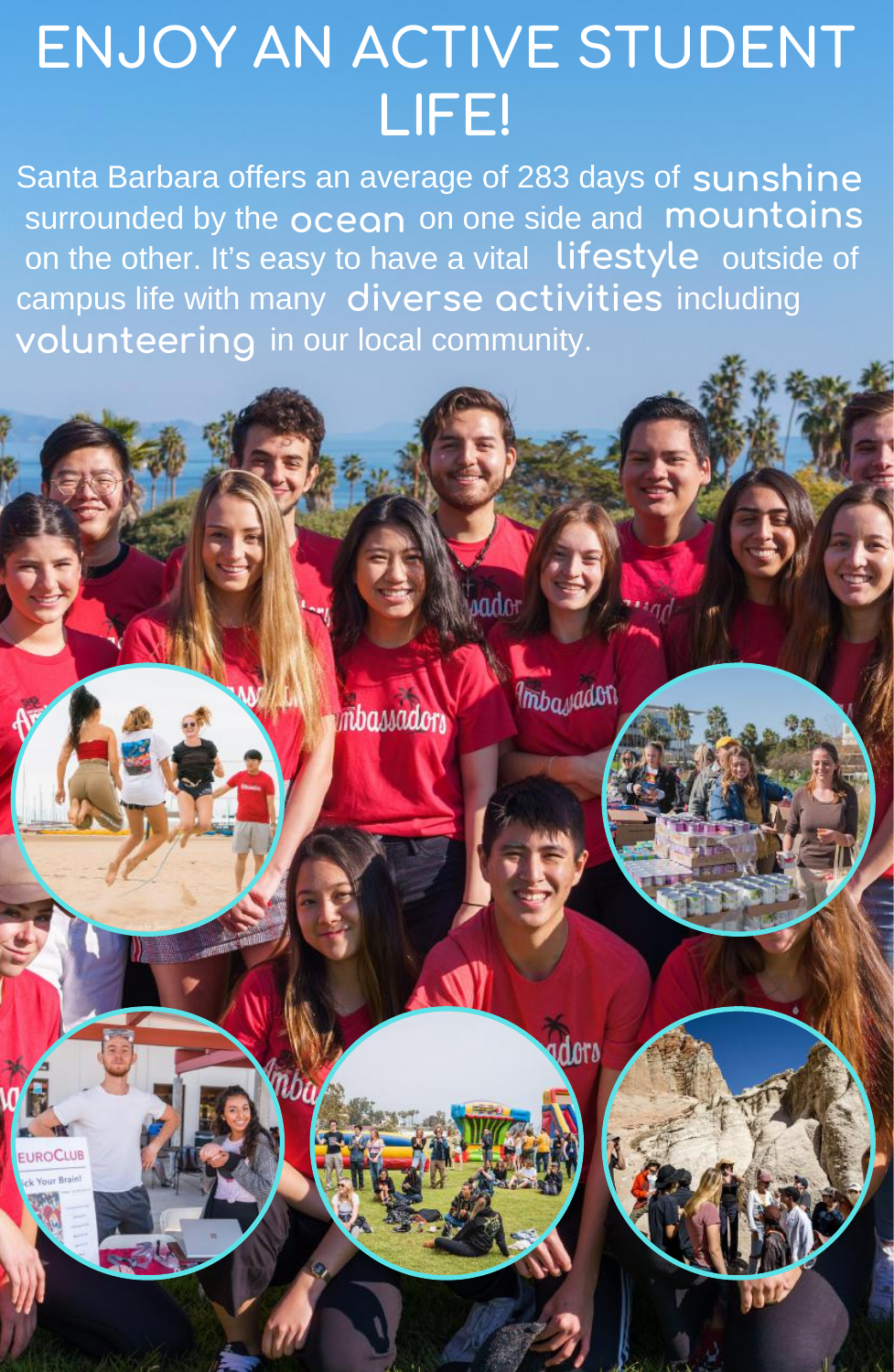# **ENJOY AN ACTIVE STUDENT LIFE!**

Santa Barbara offers an average of 283 days of **sunshine** surrounded by the ocean on one side and **mountains** on the other. It's easy to have a vital lifestyle outside of campus life with many diverse activities including volunteering in our local community.

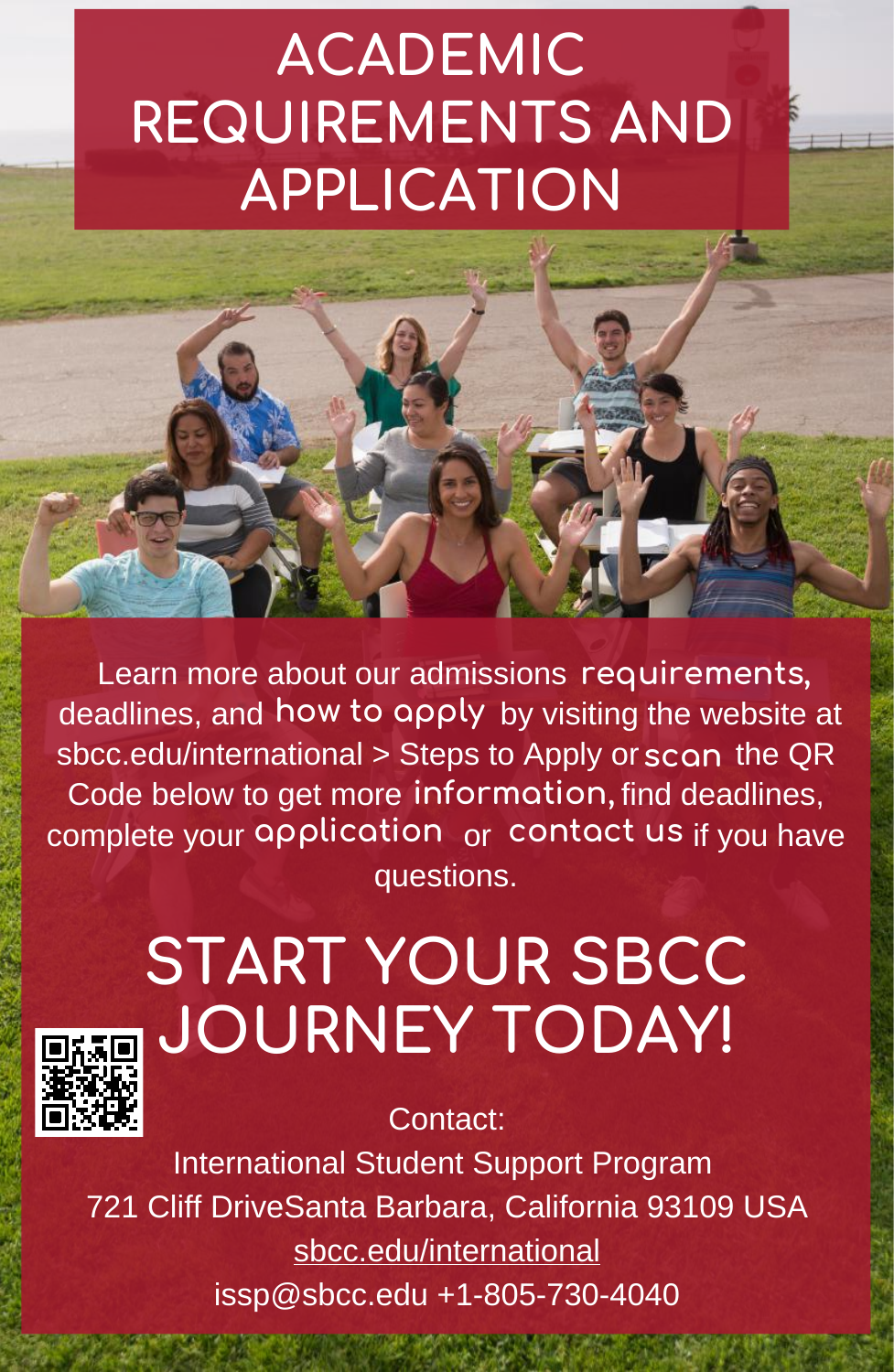# **ACADEMIC REQUIREMENTS AND APPLICATION**

Learn more about our admissions **requirements,** deadlines, and how to apply by visiting the website at sbcc.edu/international > Steps to Apply or scan the QR Code below to get more information, find deadlines, complete your <code>application</code>  $_{\text{or}}$  contact us if you have questions.

# **START YOUR SBCC JOURNEY TODAY!**



International Student Support Program 721 Cliff DriveSanta Barbara, California 93109 USA [sbcc.edu/international](http://www.sbcc.edu/international) issp@sbcc.edu +1-805-730-4040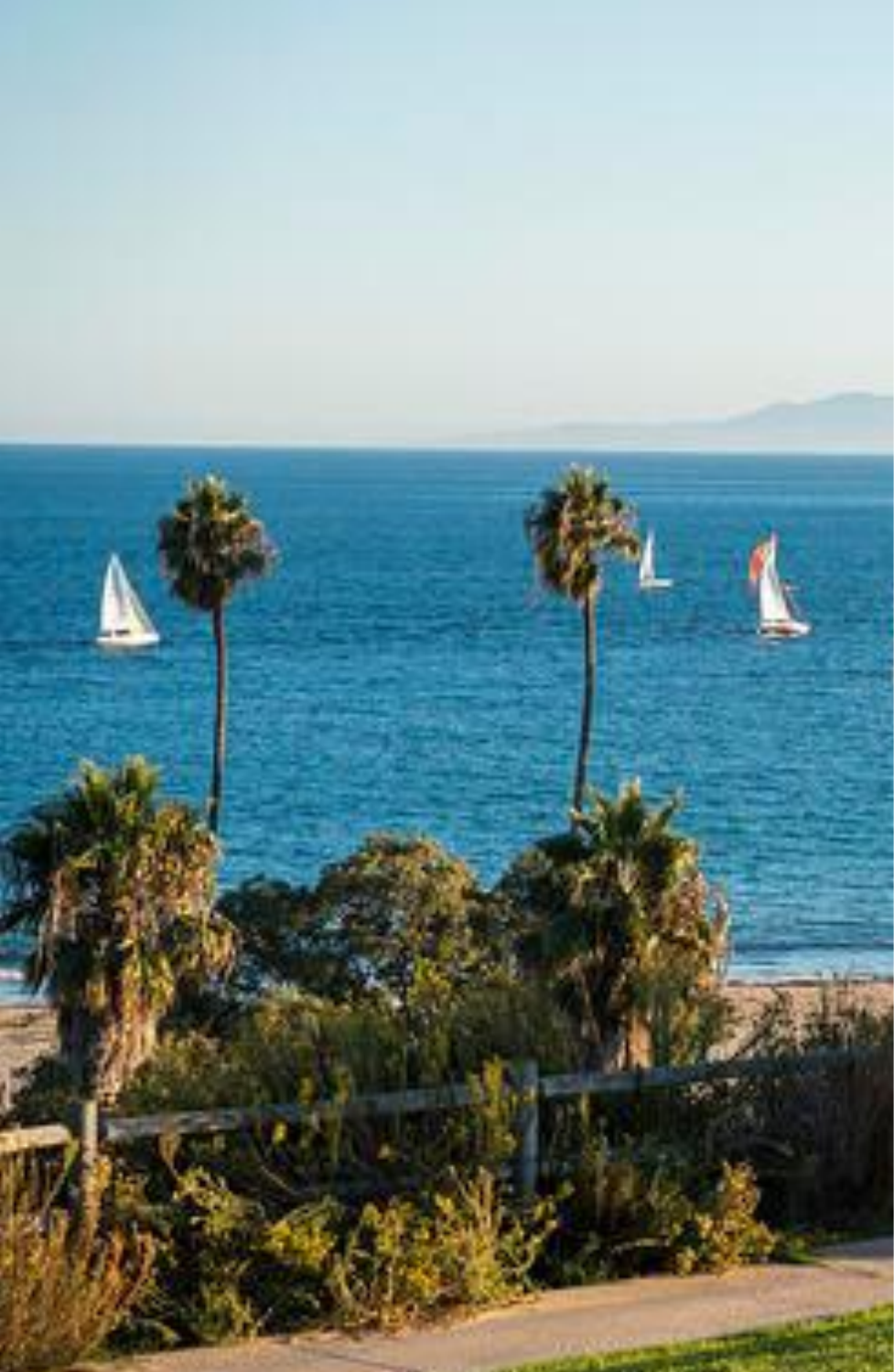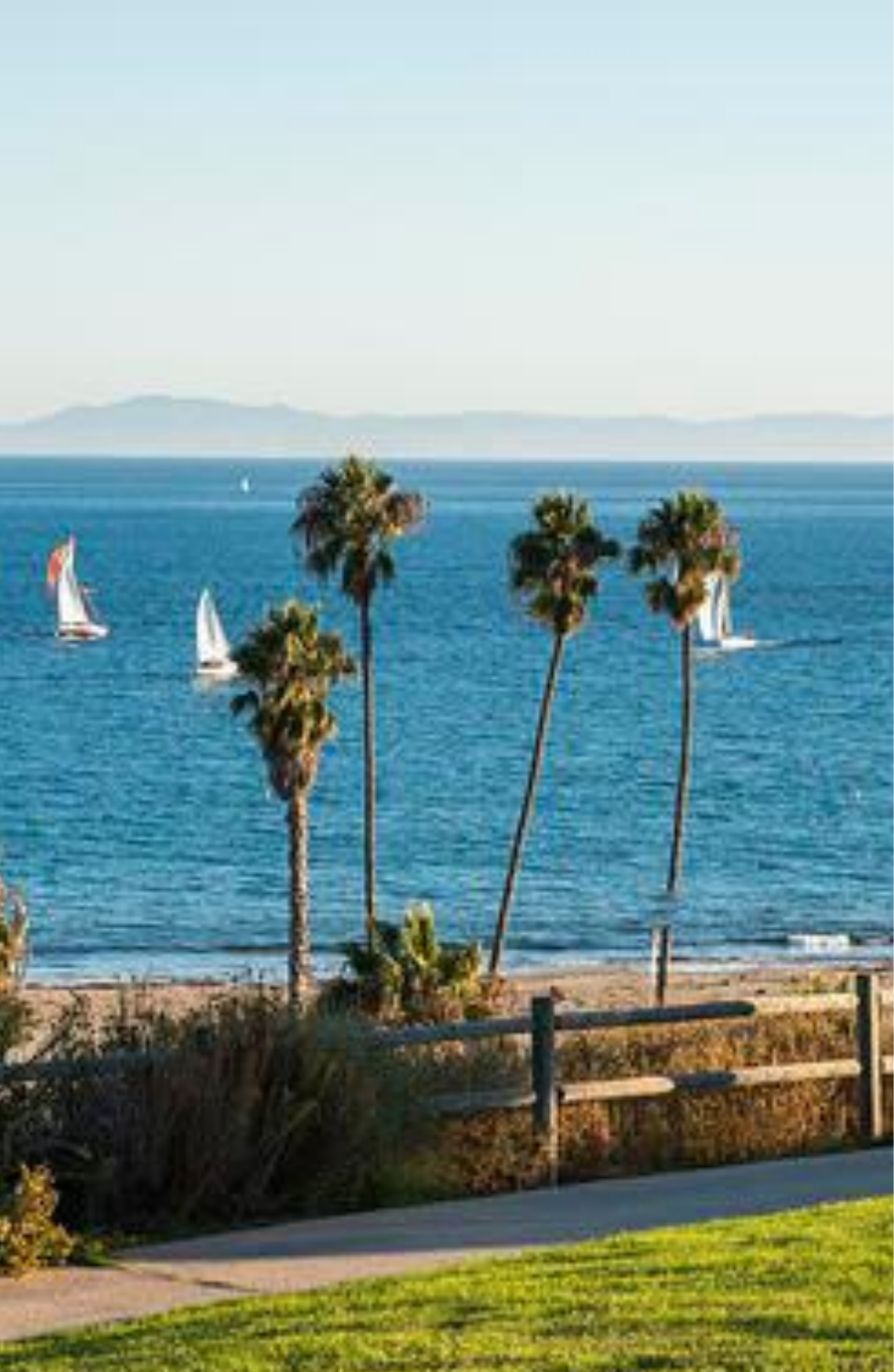